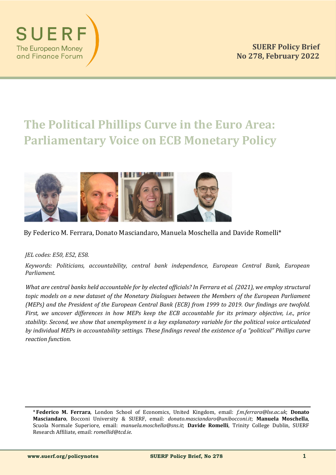





## By Federico M. Ferrara, Donato Masciandaro, Manuela Moschella and Davide Romelli\*

#### *JEL codes: E50, E52, E58.*

SUER

**The European Money** and Finance Forum

> *Keywords: Politicians, accountability, central bank independence, European Central Bank, European Parliament.*

> *What are central banks held accountable for by elected officials? In Ferrara et al. (2021), we employ structural topic models on a new dataset of the Monetary Dialogues between the Members of the European Parliament (MEPs) and the President of the European Central Bank (ECB) from 1999 to 2019. Our findings are twofold. First, we uncover differences in how MEPs keep the ECB accountable for its primary objective, i.e., price stability. Second, we show that unemployment is a key explanatory variable for the political voice articulated by individual MEPs in accountability settings. These findings reveal the existence of a "political" Phillips curve reaction function.*

<sup>\*</sup> **Federico M. Ferrara**, London School of Economics, United Kingdom, email: *f.m.ferrara@lse.ac.uk*; **Donato Masciandaro**, Bocconi University & SUERF, email: *donato.masciandaro@unibocconi.it*; **Manuela Moschella**, Scuola Normale Superiore, email: *manuela.moschella@sns.it*; **Davide Romelli**, Trinity College Dublin, SUERF Research Affiliate, email: *romellid@tcd.ie*.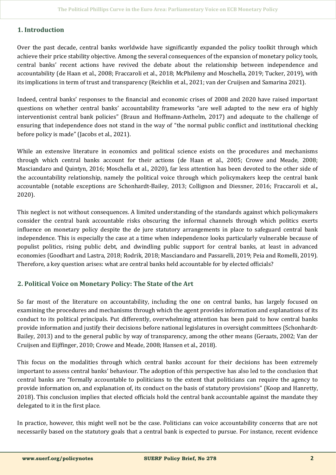## **1. Introduction**

Over the past decade, central banks worldwide have significantly expanded the policy toolkit through which achieve their price stability objective. Among the several consequences of the expansion of monetary policy tools, central banks' recent actions have revived the debate about the relationship between independence and accountability (de Haan et al., 2008; Fraccaroli et al., 2018; McPhilemy and Moschella, 2019; Tucker, 2019), with its implications in term of trust and transparency (Reichlin et al., 2021; van der Cruijsen and Samarina 2021).

Indeed, central banks' responses to the financial and economic crises of 2008 and 2020 have raised important questions on whether central banks' accountability frameworks "are well adapted to the new era of highly interventionist central bank policies" (Braun and Hoffmann-Axthelm, 2017) and adequate to the challenge of ensuring that independence does not stand in the way of "the normal public conflict and institutional checking before policy is made" (Jacobs et al., 2021).

While an extensive literature in economics and political science exists on the procedures and mechanisms through which central banks account for their actions (de Haan et al., 2005; Crowe and Meade, 2008; Masciandaro and Quintyn, 2016; Moschella et al., 2020), far less attention has been devoted to the other side of the accountability relationship, namely the political voice through which policymakers keep the central bank accountable (notable exceptions are Schonhardt-Bailey, 2013; Collignon and Diessner, 2016; Fraccaroli et al., 2020).

This neglect is not without consequences. A limited understanding of the standards against which policymakers consider the central bank accountable risks obscuring the informal channels through which politics exerts influence on monetary policy despite the de jure statutory arrangements in place to safeguard central bank independence. This is especially the case at a time when independence looks particularly vulnerable because of populist politics, rising public debt, and dwindling public support for central banks, at least in advanced economies (Goodhart and Lastra, 2018; Rodrik, 2018; Masciandaro and Passarelli, 2019; Peia and Romelli, 2019). Therefore, a key question arises: what are central banks held accountable for by elected officials?

# **2. Political Voice on Monetary Policy: The State of the Art**

So far most of the literature on accountability, including the one on central banks, has largely focused on examining the procedures and mechanisms through which the agent provides information and explanations of its conduct to its political principals. Put differently, overwhelming attention has been paid to how central banks provide information and justify their decisions before national legislatures in oversight committees (Schonhardt-Bailey, 2013) and to the general public by way of transparency, among the other means (Geraats, 2002; Van der Cruijsen and Eijffinger, 2010; Crowe and Meade, 2008; Hansen et al., 2018).

This focus on the modalities through which central banks account for their decisions has been extremely important to assess central banks' behaviour. The adoption of this perspective has also led to the conclusion that central banks are "formally accountable to politicians to the extent that politicians can require the agency to provide information on, and explanation of, its conduct on the basis of statutory provisions" (Koop and Hanretty, 2018). This conclusion implies that elected officials hold the central bank accountable against the mandate they delegated to it in the first place.

In practice, however, this might well not be the case. Politicians can voice accountability concerns that are not necessarily based on the statutory goals that a central bank is expected to pursue. For instance, recent evidence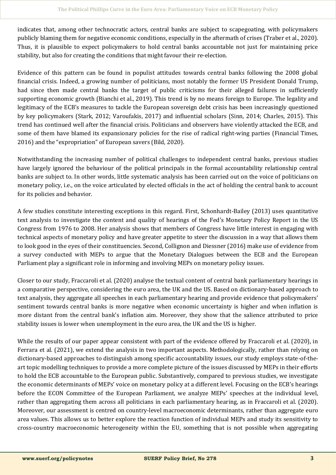indicates that, among other technocratic actors, central banks are subject to scapegoating, with policymakers publicly blaming them for negative economic conditions, especially in the aftermath of crises (Traber et al., 2020). Thus, it is plausible to expect policymakers to hold central banks accountable not just for maintaining price stability, but also for creating the conditions that might favour their re-election.

Evidence of this pattern can be found in populist attitudes towards central banks following the 2008 global financial crisis. Indeed, a growing number of politicians, most notably the former US President Donald Trump, had since then made central banks the target of public criticisms for their alleged failures in sufficiently supporting economic growth (Bianchi et al., 2019). This trend is by no means foreign to Europe. The legality and legitimacy of the ECB's measures to tackle the European sovereign debt crisis has been increasingly questioned by key policymakers (Stark, 2012; Varoufakis, 2017) and influential scholars (Sinn, 2014; Charles, 2015). This trend has continued well after the financial crisis. Politicians and observers have violently attacked the ECB, and some of them have blamed its expansionary policies for the rise of radical right-wing parties (Financial Times, 2016) and the "expropriation" of European savers (Bild, 2020).

Notwithstanding the increasing number of political challenges to independent central banks, previous studies have largely ignored the behaviour of the political principals in the formal accountability relationship central banks are subject to. In other words, little systematic analysis has been carried out on the voice of politicians on monetary policy, i.e., on the voice articulated by elected officials in the act of holding the central bank to account for its policies and behavior.

A few studies constitute interesting exceptions in this regard. First, Schonhardt-Bailey (2013) uses quantitative text analysis to investigate the content and quality of hearings of the Fed's Monetary Policy Report in the US Congress from 1976 to 2008. Her analysis shows that members of Congress have little interest in engaging with technical aspects of monetary policy and have greater appetite to steer the discussion in a way that allows them to look good in the eyes of their constituencies. Second, Collignon and Diessner (2016) make use of evidence from a survey conducted with MEPs to argue that the Monetary Dialogues between the ECB and the European Parliament play a significant role in informing and involving MEPs on monetary policy issues.

Closer to our study, Fraccaroli et al. (2020) analyse the textual content of central bank parliamentary hearings in a comparative perspective, considering the euro area, the UK and the US. Based on dictionary-based approach to text analysis, they aggregate all speeches in each parliamentary hearing and provide evidence that policymakers' sentiment towards central banks is more negative when economic uncertainty is higher and when inflation is more distant from the central bank's inflation aim. Moreover, they show that the salience attributed to price stability issues is lower when unemployment in the euro area, the UK and the US is higher.

While the results of our paper appear consistent with part of the evidence offered by Fraccaroli et al. (2020), in Ferrara et al. (2021), we extend the analysis in two important aspects. Methodologically, rather than relying on dictionary-based approaches to distinguish among specific accountability issues, our study employs state-of-theart topic modelling techniques to provide a more complete picture of the issues discussed by MEPs in their efforts to hold the ECB accountable to the European public. Substantively, compared to previous studies, we investigate the economic determinants of MEPs' voice on monetary policy at a different level. Focusing on the ECB's hearings before the ECON Committee of the European Parliament, we analyze MEPs' speeches at the individual level, rather than aggregating them across all politicians in each parliamentary hearing, as in Fraccaroli et al. (2020). Moreover, our assessment is centred on country-level macroeconomic determinants, rather than aggregate euro area values. This allows us to better explore the reaction function of individual MEPs and study its sensitivity to cross-country macroeconomic heterogeneity within the EU, something that is not possible when aggregating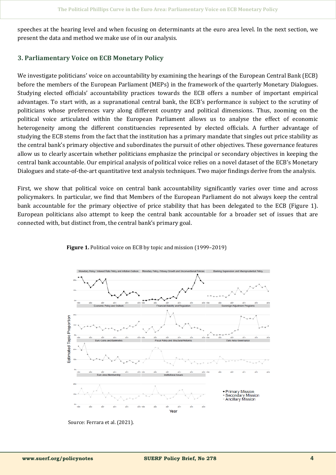speeches at the hearing level and when focusing on determinants at the euro area level. In the next section, we present the data and method we make use of in our analysis.

## **3. Parliamentary Voice on ECB Monetary Policy**

We investigate politicians' voice on accountability by examining the hearings of the European Central Bank (ECB) before the members of the European Parliament (MEPs) in the framework of the quarterly Monetary Dialogues. Studying elected officials' accountability practices towards the ECB offers a number of important empirical advantages. To start with, as a supranational central bank, the ECB's performance is subject to the scrutiny of politicians whose preferences vary along different country and political dimensions. Thus, zooming on the political voice articulated within the European Parliament allows us to analyse the effect of economic heterogeneity among the different constituencies represented by elected officials. A further advantage of studying the ECB stems from the fact that the institution has a primary mandate that singles out price stability as the central bank's primary objective and subordinates the pursuit of other objectives. These governance features allow us to clearly ascertain whether politicians emphasize the principal or secondary objectives in keeping the central bank accountable. Our empirical analysis of political voice relies on a novel dataset of the ECB's Monetary Dialogues and state-of-the-art quantitative text analysis techniques. Two major findings derive from the analysis.

First, we show that political voice on central bank accountability significantly varies over time and across policymakers. In particular, we find that Members of the European Parliament do not always keep the central bank accountable for the primary objective of price stability that has been delegated to the ECB (Figure 1). European politicians also attempt to keep the central bank accountable for a broader set of issues that are connected with, but distinct from, the central bank's primary goal.



Figure 1. Political voice on ECB by topic and mission (1999–2019)

Source: Ferrara et al. (2021).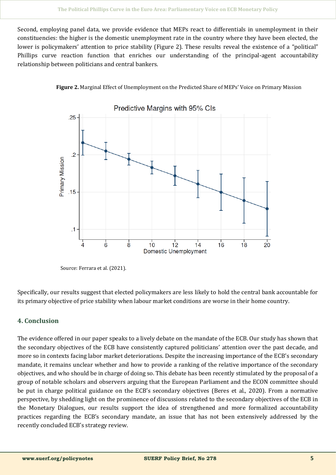Second, employing panel data, we provide evidence that MEPs react to differentials in unemployment in their constituencies: the higher is the domestic unemployment rate in the country where they have been elected, the lower is policymakers' attention to price stability (Figure 2). These results reveal the existence of a "political" Phillips curve reaction function that enriches our understanding of the principal-agent accountability relationship between politicians and central bankers.





Source: Ferrara et al. (2021).

Specifically, our results suggest that elected policymakers are less likely to hold the central bank accountable for its primary objective of price stability when labour market conditions are worse in their home country.

# **4. Conclusion**

The evidence offered in our paper speaks to a lively debate on the mandate of the ECB. Our study has shown that the secondary objectives of the ECB have consistently captured politicians' attention over the past decade, and more so in contexts facing labor market deteriorations. Despite the increasing importance of the ECB's secondary mandate, it remains unclear whether and how to provide a ranking of the relative importance of the secondary objectives, and who should be in charge of doing so. This debate has been recently stimulated by the proposal of a group of notable scholars and observers arguing that the European Parliament and the ECON committee should be put in charge political guidance on the ECB's secondary objectives (Beres et al., 2020). From a normative perspective, by shedding light on the prominence of discussions related to the secondary objectives of the ECB in the Monetary Dialogues, our results support the idea of strengthened and more formalized accountability practices regarding the ECB's secondary mandate, an issue that has not been extensively addressed by the recently concluded ECB's strategy review.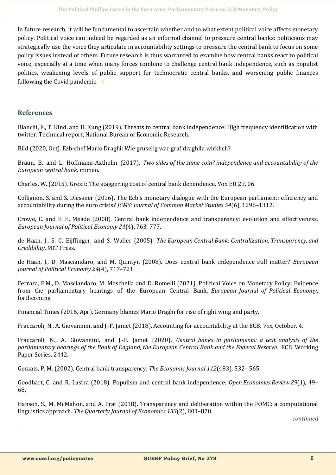In future research, it will be fundamental to ascertain whether and to what extent political voice affects monetary policy. Political voice can indeed be regarded as an informal channel to pressure central banks: politicians may strategically use the voice they articulate in accountability settings to pressure the central bank to focus on some policy issues instead of others. Future research is thus warranted to examine how central banks react to political voice, especially at a time when many forces combine to challenge central bank independence, such as populist politics, weakening levels of public support for technocratic central banks, and worsening public finances following the Covid pandemic. ∎

#### **References**

Bianchi, F., T. Kind, and H. Kung (2019). Threats to central bank independence: High frequency identification with twitter. Technical report, National Bureau of Economic Research.

Bild (2020, Oct). Ezb-chef Mario Draghi: Wie gruselig war graf draghila wirklich?

Braun, B. and L. Hoffmann-Axthelm (2017). *Two sides of the same coin? independence and accountability of the European central bank*. mimeo.

Charles, W. (2015). Grexit: The staggering cost of central bank dependence. Vox EU 29, 06.

Collignon, S. and S. Diessner (2016). The Ecb's monetary dialogue with the European parliament: efficiency and accountability during the euro crisis? *JCMS: Journal of Common Market Studies 54*(6), 1296–1312.

Crowe, C. and E. E. Meade (2008). Central bank independence and transparency: evolution and effectiveness. *European Journal of Political Economy 24*(4), 763–777.

de Haan, J., S. C. Eijffinger, and S. Waller (2005). *The European Central Bank: Centralization, Transparency, and Credibility*. MIT Press.

de Haan, J., D. Masciandaro, and M. Quintyn (2008). Does central bank independence still matter? *European Journal of Political Economy 24*(4), 717–721.

Ferrara, F.M., D. Masciandaro, M. Moschella and D. Romelli (2021). Political Voice on Monetary Policy: Evidence from the parliamentary hearings of the European Central Bank*, European Journal of Political Economy*, forthcoming.

Financial Times (2016, Apr). Germany blames Mario Draghi for rise of right wing and party.

Fraccaroli, N., A. Giovannini, and J.-F. Jamet (2018). Accounting for accountability at the ECB, *Vox*, October, 4.

Fraccaroli, N., A. Giovannini, and J.-F. Jamet (2020). *Central banks in parliaments: a text analysis of the parliamentary hearings of the Bank of England, the European Central Bank and the Federal Reserve*. ECB Working Paper Series, 2442.

Geraats, P. M. (2002). Central bank transparency. *The Economic Journal 112*(483), 532– 565.

Goodhart, C. and R. Lastra (2018). Populism and central bank independence. *Open Economies Review 29*(1), 49– 68.

Hansen, S., M. McMahon, and A. Prat (2018). Transparency and deliberation within the FOMC: a computational linguistics approach. *The Quarterly Journal of Economics 133*(2), 801–870.

*continued*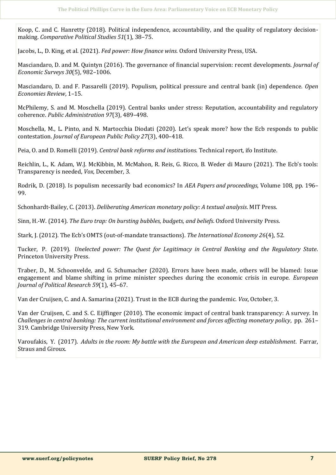Koop, C. and C. Hanretty (2018). Political independence, accountability, and the quality of regulatory decisionmaking. *Comparative Political Studies 51*(1), 38–75.

Jacobs, L., D. King, et al. (2021). *Fed power: How finance wins*. Oxford University Press, USA.

Masciandaro, D. and M. Quintyn (2016). The governance of financial supervision: recent developments. *Journal of Economic Surveys 30*(5), 982–1006.

Masciandaro, D. and F. Passarelli (2019). Populism, political pressure and central bank (in) dependence. *Open Economies Review*, 1–15.

McPhilemy, S. and M. Moschella (2019). Central banks under stress: Reputation, accountability and regulatory coherence. *Public Administration 97*(3), 489–498.

Moschella, M., L. Pinto, and N. Martocchia Diodati (2020). Let's speak more? how the Ecb responds to public contestation. *Journal of European Public Policy 27*(3), 400–418.

Peia, O. and D. Romelli (2019). *Central bank reforms and institutions*. Technical report, ifo Institute.

Reichlin, L., K. Adam, W.J. McKibbin, M. McMahon, R. Reis, G. Ricco, B. Weder di Mauro (2021). The Ecb's tools: Transparency is needed, *Vox*, December, 3.

Rodrik, D. (2018). Is populism necessarily bad economics? In *AEA Papers and proceedings*, Volume 108, pp. 196– 99.

Schonhardt-Bailey, C. (2013). *Deliberating American monetary policy: A textual analysis*. MIT Press.

Sinn, H.-W. (2014). *The Euro trap: On bursting bubbles, budgets, and beliefs*. Oxford University Press.

Stark, J. (2012). The Ecb's OMTS (out-of-mandate transactions). *The International Economy 26*(4), 52.

Tucker, P. (2019). *Unelected power: The Quest for Legitimacy in Central Banking and the Regulatory State*. Princeton University Press.

Traber, D., M. Schoonvelde, and G. Schumacher (2020). Errors have been made, others will be blamed: Issue engagement and blame shifting in prime minister speeches during the economic crisis in europe. *European Journal of Political Research 59*(1), 45–67.

Van der Cruijsen, C. and A. Samarina (2021). Trust in the ECB during the pandemic. *Vox*, October, 3.

Van der Cruijsen, C. and S. C. Eijffinger (2010). The economic impact of central bank transparency: A survey. In *Challenges in central banking: The current institutional environment and forces affecting monetary policy*, pp. 261– 319. Cambridge University Press, New York.

Varoufakis, Y. (2017). *Adults in the room: My battle with the European and American deep establishment*. Farrar, Straus and Giroux.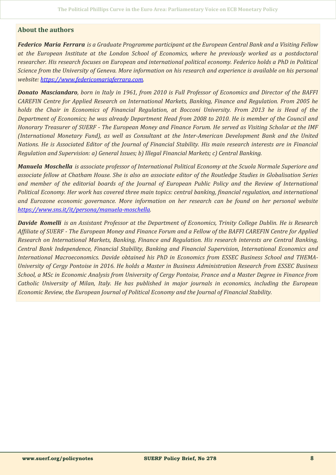### **About the authors**

*Federico Maria Ferrara is a Graduate Programme participant at the European Central Bank and a Visiting Fellow at the European Institute at the London School of Economics, where he previously worked as a postdoctoral researcher. His research focuses on European and international political economy. Federico holds a PhD in Political Science from the University of Geneva. More information on his research and experience is available on his personal website: [https://www.federicomariaferrara.com.](https://www.federicomariaferrara.com)*

*Donato Masciandaro, born in Italy in 1961, from 2010 is Full Professor of Economics and Director of the BAFFI CAREFIN Centre for Applied Research on International Markets, Banking, Finance and Regulation. From 2005 he holds the Chair in Economics of Financial Regulation, at Bocconi University. From 2013 he is Head of the Department of Economics; he was already Department Head from 2008 to 2010. He is member of the Council and Honorary Treasurer of SUERF - The European Money and Finance Forum. He served as Visiting Scholar at the IMF (International Monetary Fund), as well as Consultant at the Inter-American Development Bank and the United Nations. He is Associated Editor of the Journal of Financial Stability. His main research interests are in Financial Regulation and Supervision: a) General Issues; b) Illegal Financial Markets; c) Central Banking.*

*Manuela Moschella is associate professor of International Political Economy at the Scuola Normale Superiore and associate fellow at Chatham House. She is also an associate editor of the Routledge Studies in Globalisation Series and member of the editorial boards of the Journal of European Public Policy and the Review of International Political Economy. Her work has covered three main topics: central banking, financial regulation, and international and Eurozone economic governance. More information on her research can be found on her personal website [https://www.sns.it/it/persona/manuela](https://www.sns.it/it/persona/manuela-moschella)-moschella.*

*Davide Romelli is an Assistant Professor at the Department of Economics, Trinity College Dublin. He is Research Affiliate of SUERF - The European Money and Finance Forum and a Fellow of the BAFFI CAREFIN Centre for Applied Research on International Markets, Banking, Finance and Regulation. His research interests are Central Banking, Central Bank Independence, Financial Stability, Banking and Financial Supervision, International Economics and International Macroeconomics. Davide obtained his PhD in Economics from ESSEC Business School and THEMA-University of Cergy Pontoise in 2016. He holds a Master in Business Administration Research from ESSEC Business School, a MSc in Economic Analysis from University of Cergy Pontoise, France and a Master Degree in Finance from Catholic University of Milan, Italy. He has published in major journals in economics, including the European Economic Review, the European Journal of Political Economy and the Journal of Financial Stability.*